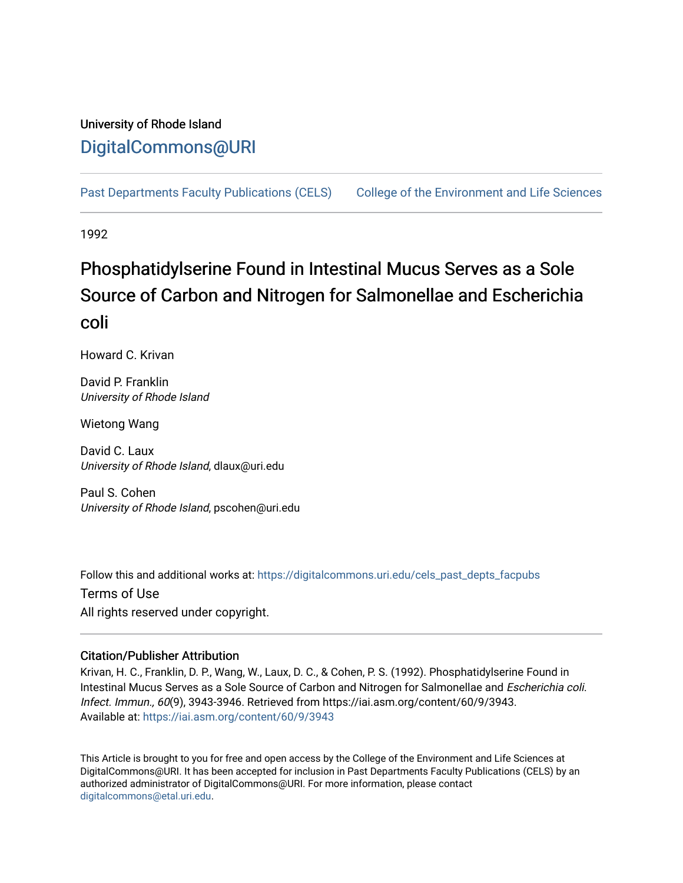## University of Rhode Island [DigitalCommons@URI](https://digitalcommons.uri.edu/)

[Past Departments Faculty Publications \(CELS\)](https://digitalcommons.uri.edu/cels_past_depts_facpubs) [College of the Environment and Life Sciences](https://digitalcommons.uri.edu/cels) 

1992

# Phosphatidylserine Found in Intestinal Mucus Serves as a Sole Source of Carbon and Nitrogen for Salmonellae and Escherichia coli

Howard C. Krivan

David P. Franklin University of Rhode Island

Wietong Wang

David C. Laux University of Rhode Island, dlaux@uri.edu

Paul S. Cohen University of Rhode Island, pscohen@uri.edu

Follow this and additional works at: [https://digitalcommons.uri.edu/cels\\_past\\_depts\\_facpubs](https://digitalcommons.uri.edu/cels_past_depts_facpubs?utm_source=digitalcommons.uri.edu%2Fcels_past_depts_facpubs%2F32&utm_medium=PDF&utm_campaign=PDFCoverPages) 

Terms of Use All rights reserved under copyright.

## Citation/Publisher Attribution

Krivan, H. C., Franklin, D. P., Wang, W., Laux, D. C., & Cohen, P. S. (1992). Phosphatidylserine Found in Intestinal Mucus Serves as a Sole Source of Carbon and Nitrogen for Salmonellae and Escherichia coli. Infect. Immun., 60(9), 3943-3946. Retrieved from https://iai.asm.org/content/60/9/3943. Available at:<https://iai.asm.org/content/60/9/3943>

This Article is brought to you for free and open access by the College of the Environment and Life Sciences at DigitalCommons@URI. It has been accepted for inclusion in Past Departments Faculty Publications (CELS) by an authorized administrator of DigitalCommons@URI. For more information, please contact [digitalcommons@etal.uri.edu](mailto:digitalcommons@etal.uri.edu).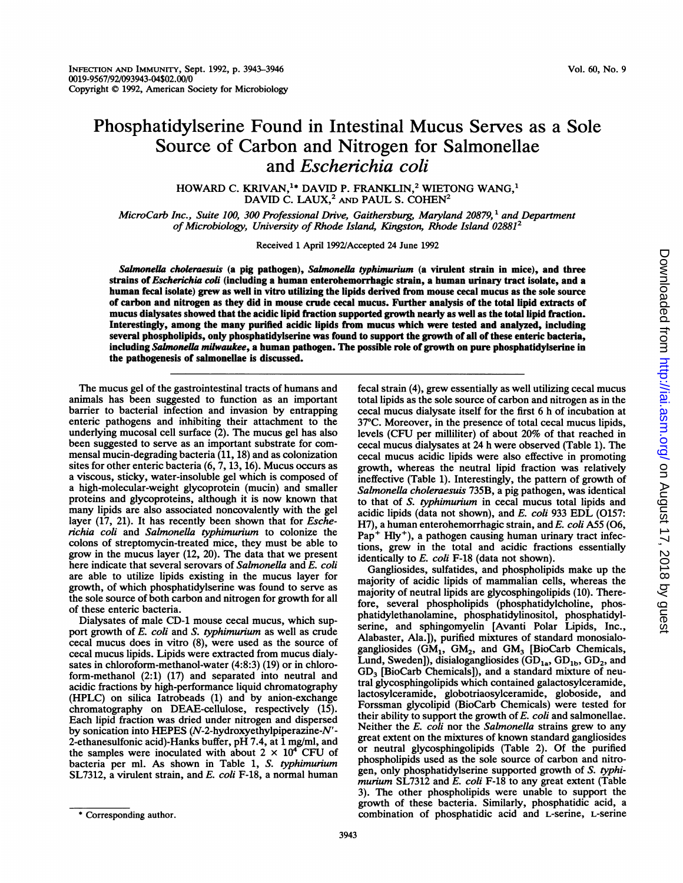HOWARD C. KRIVAN,<sup>1\*</sup> DAVID P. FRANKLIN,<sup>2</sup> WIETONG WANG,<sup>1</sup> DAVID C. LAUX,<sup>2</sup> AND PAUL S. COHEN<sup>2</sup>

MicroCarb Inc., Suite 100, 300 Professional Drive, Gaithersburg, Maryland 20879,<sup>1</sup> and Department of Microbiology, University of Rhode Island, Kingston, Rhode Island 02881<sup>2</sup>

Received 1 April 1992/Accepted 24 June 1992

Salmonella choleraesuis (a pig pathogen), Salmonella typhimurium (a virulent strain in mice), and three strains of Escherichia coli (including a human enterohemorrhagic strain, a human urinary tract isolate, and a human fecal isolate) grew as well in vitro utilizing the lipids derived from mouse cecal mucus as the sole source of carbon and nitrogen as they did in mouse crude cecal mucus. Further analysis of the total lipid extracts of mucus dialysates showed that the acidic lipid fraction supported growth nearly as weli as the total lipid fraction. Interestingly, among the many purified acidic lipids from mucus which were tested and analyzed, including several phospholipids, only phosphatidylserine was found to support the growth of all of these enteric bacteria, including Salmonella milwaukee, a human pathogen. The possible role of growth on pure phosphatidylserine in the pathogenesis of salmonellae is discussed.

The mucus gel of the gastrointestinal tracts of humans and animals has been suggested to function as an important barrier to bacterial infection and invasion by entrapping enteric pathogens and inhibiting their attachment to the underlying mucosal cell surface (2). The mucus gel has also been suggested to serve as an important substrate for commensal mucin-degrading bacteria (11, 18) and as colonization sites for other enteric bacteria  $(6, 7, 13, 16)$ . Mucus occurs as a viscous, sticky, water-insoluble gel which is composed of a high-molecular-weight glycoprotein (mucin) and smaller proteins and glycoproteins, although it is now known that many lipids are also associated noncovalently with the gel layer (17, 21). It has recently been shown that for *Esche*richia coli and Salmonella typhimurium to colonize the colons of streptomycin-treated mice, they must be able to grow in the mucus layer (12, 20). The data that we present here indicate that several serovars of Salmonella and E. coli are able to utilize lipids existing in the mucus layer for growth, of which phosphatidylserine was found to serve as the sole source of both carbon and nitrogen for growth for all of these enteric bacteria.

Dialysates of male CD-1 mouse cecal mucus, which support growth of E. coli and S. typhimurium as well as crude cecal mucus does in vitro (8), were used as the source of cecal mucus lipids. Lipids were extracted from mucus dialysates in chloroform-methanol-water (4:8:3) (19) or in chloroform-methanol (2:1) (17) and separated into neutral and acidic fractions by high-performance liquid chromatography (HPLC) on silica Iatrobeads (1) and by anion-exchange chromatography on DEAE-cellulose, respectively (15). Each lipid fraction was dried under nitrogen and dispersed by sonication into HEPES (N-2-hydroxyethylpiperazine-N'- 2-ethanesulfonic acid)-Hanks buffer, pH 7.4, at <sup>1</sup> mg/ml, and the samples were inoculated with about  $2 \times 10^{4}$  CFU of bacteria per ml. As shown in Table 1, S. typhimurium SL7312, a virulent strain, and E. coli F-18, a normal human

Gangliosides, sulfatides, and phospholipids make up the majority of acidic lipids of mammalian cells, whereas the majority of neutral lipids are glycosphingolipids (10). Therefore, several phospholipids (phosphatidylcholine, phosphatidylethanolamine, phosphatidylinositol, phosphatidylserine, and sphingomyelin [Avanti Polar Lipids, Inc., Alabaster, Ala.]), purified mixtures of standard monosialogangliosides  $(GM_1, GM_2, and GM_3)$  [BioCarb Chemicals, Lund, Sweden]), disialogangliosides ( $GD_{1a}$ ,  $GD_{1b}$ ,  $GD_2$ , and GD<sub>3</sub> [BioCarb Chemicals]), and a standard mixture of neutral glycosphingolipids which contained galactosylceramide, lactosylceramide, globotriaosylceramide, globoside, and Forssman glycolipid (BioCarb Chemicals) were tested for their ability to support the growth of E. coli and salmonellae. Neither the E. coli nor the Salmonella strains grew to any great extent on the mixtures of known standard gangliosides or neutral glycosphingolipids (Table 2). Of the purified phospholipids used as the sole source of carbon and nitrogen, only phosphatidylserine supported growth of S. typhimurium  $SL7312$  and E. coli F-18 to any great extent (Table 3). The other phospholipids were unable to support the growth of these bacteria. Similarly, phosphatidic acid, a combination of phosphatidic acid and L-serine, L-serine

fecal strain (4), grew essentially as well utilizing cecal mucus total lipids as the sole source of carbon and nitrogen as in the cecal mucus dialysate itself for the first 6 h of incubation at 37°C. Moreover, in the presence of total cecal mucus lipids, levels (CFU per milliliter) of about 20% of that reached in cecal mucus dialysates at 24 h were observed (Table 1). The cecal mucus acidic lipids were also effective in promoting growth, whereas the neutral lipid fraction was relatively ineffective (Table 1). Interestingly, the pattern of growth of Salmonella choleraesuis 735B, a pig pathogen, was identical to that of S. typhimurium in cecal mucus total lipids and acidic lipids (data not shown), and  $E$ . coli 933 EDL (O157: H7), a human enterohemorrhagic strain, and E. coli A55 (O6,  $Pap<sup>+</sup> Hly<sup>+</sup>$ , a pathogen causing human urinary tract infections, grew in the total and acidic fractions essentially identically to E. coli F-18 (data not shown).

<sup>\*</sup> Corresponding author.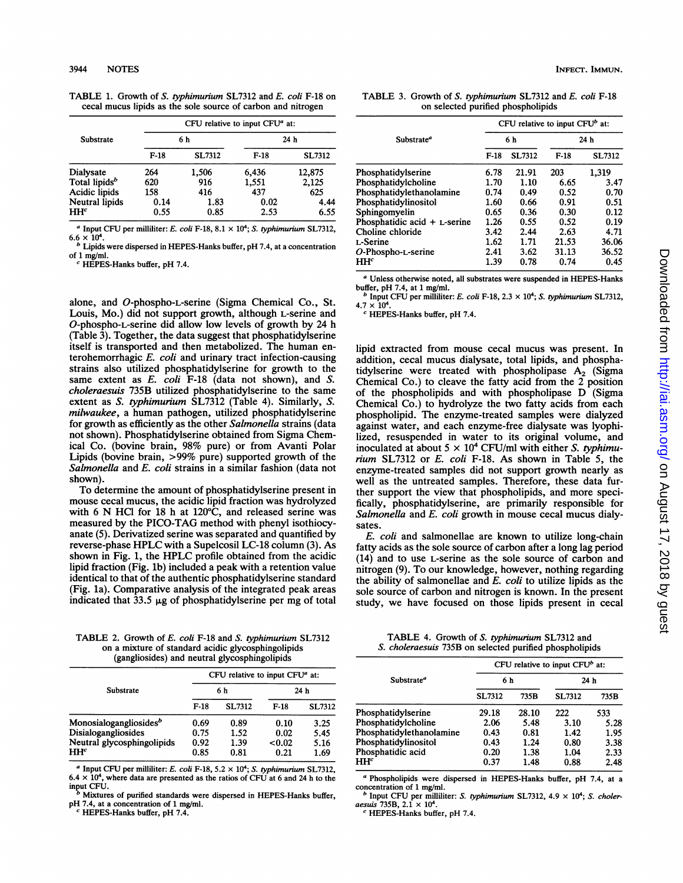|  |                                                              | TABLE 1. Growth of S. typhimurium SL7312 and E. coli F-18 on |
|--|--------------------------------------------------------------|--------------------------------------------------------------|
|  | cecal mucus lipids as the sole source of carbon and nitrogen |                                                              |

|                           | CFU relative to input CFU <sup>a</sup> at: |               |                 |               |  |
|---------------------------|--------------------------------------------|---------------|-----------------|---------------|--|
| Substrate                 | 6 h                                        |               | 24 <sub>h</sub> |               |  |
|                           | $F-18$                                     | <b>SL7312</b> | $F-18$          | <b>SL7312</b> |  |
| Dialysate                 | 264                                        | 1,506         | 6,436           | 12,875        |  |
| Total lipids <sup>b</sup> | 620                                        | 916           | 1,551           | 2,125         |  |
| Acidic lipids             | 158                                        | 416           | 437             | 625           |  |
| Neutral lipids            | 0.14                                       | 1.83          | 0.02            | 4.44          |  |
| HH <sup>c</sup>           | 0.55                                       | 0.85          | 2.53            | 6.55          |  |

<sup>a</sup> Input CFU per milliliter: E. coli F-18, 8.1  $\times$  10<sup>4</sup>; S. typhimurium SL7312,

 $6.6 \times 10^{4}$ .<br><sup>b</sup> Lipids were dispersed in HEPES-Hanks buffer, pH 7.4, at a concentration of 1 mg/ml.

 $\epsilon$  HEPES-Hanks buffer, pH 7.4.

alone, and O-phospho-L-serine (Sigma Chemical Co., St. Louis, Mo.) did not support growth, although L-serine and O-phospho-L-serine did allow low levels of growth by 24 h (Table 3). Together, the data suggest that phosphatidylserine itself is transported and then metabolized. The human enterohemorrhagic E. coli and urinary tract infection-causing strains also utilized phosphatidylserine for growth to the same extent as E. coli F-18 (data not shown), and S. choleraesuis 735B utilized phosphatidylserine to the same extent as S. typhimurium SL7312 (Table 4). Similarly, S. milwaukee, a human pathogen, utilized phosphatidylserine for growth as efficiently as the other Salmonella strains (data not shown). Phosphatidylserine obtained from Sigma Chemical Co. (bovine brain, 98% pure) or from Avanti Polar Lipids (bovine brain, >99% pure) supported growth of the Salmonella and E. coli strains in a similar fashion (data not shown).

To determine the amount of phosphatidylserine present in mouse cecal mucus, the acidic lipid fraction was hydrolyzed with <sup>6</sup> N HCl for <sup>18</sup> <sup>h</sup> at 120°C, and released serine was measured by the PICO-TAG method with phenyl isothiocyanate (5). Derivatized serine was separated and quantified by reverse-phase HPLC with <sup>a</sup> Supelcosil LC-18 column (3). As shown in Fig. 1, the HPLC profile obtained from the acidic lipid fraction (Fig. lb) included a peak with a retention value identical to that of the authentic phosphatidylserine standard (Fig. la). Comparative analysis of the integrated peak areas indicated that  $33.5 \mu$ g of phosphatidylserine per mg of total

TABLE 2. Growth of E. coli F-18 and S. typhimurium SL7312 on a mixture of standard acidic glycosphingolipids (gangliosides) and neutral glycosphingolipids

|                                                                                                            | CFU relative to input CFU <sup>a</sup> at: |                              |                                |                              |  |
|------------------------------------------------------------------------------------------------------------|--------------------------------------------|------------------------------|--------------------------------|------------------------------|--|
| Substrate                                                                                                  |                                            | 6 h                          |                                | 24 h                         |  |
|                                                                                                            | $F-18$                                     | <b>SL7312</b>                | $F-18$                         | <b>SL7312</b>                |  |
| Monosialogangliosides <sup>b</sup><br>Disialogangliosides<br>Neutral glycosphingolipids<br>HH <sup>c</sup> | 0.69<br>0.75<br>0.92<br>0.85               | 0.89<br>1.52<br>1.39<br>0.81 | 0.10<br>0.02<br>< 0.02<br>0.21 | 3.25<br>5.45<br>5.16<br>1.69 |  |

<sup>a</sup> Input CFU per milliliter: E. coli F-18, 5.2  $\times$  10<sup>4</sup>; S. typhimurium SL7312,  $6.4 \times 10^4$ , where data are presented as the ratios of CFU at 6 and 24 h to the input CFU.

Mixtures of purified standards were dispersed in HEPES-Hanks buffer, pH 7.4, at <sup>a</sup> concentration of <sup>1</sup> mg/ml.

 $c$  HEPES-Hanks buffer, pH 7.4.

INFECT. IMMUN.

TABLE 3. Growth of S. typhimurium SL7312 and E. coli F-18 on selected purified phospholipids

|                                | CFU relative to input CFU $^b$ at: |               |                 |               |
|--------------------------------|------------------------------------|---------------|-----------------|---------------|
| Substrate <sup>a</sup>         | 6 h                                |               | 24 <sub>h</sub> |               |
|                                | $F-18$                             | <b>SL7312</b> | $F-18$          | <b>SL7312</b> |
| Phosphatidylserine             | 6.78                               | 21.91         | 203             | 1,319         |
| Phosphatidylcholine            | 1.70                               | 1.10          | 6.65            | 3.47          |
| Phosphatidylethanolamine       | 0.74                               | 0.49          | 0.52            | 0.70          |
| Phosphatidylinositol           | 1.60                               | 0.66          | 0.91            | 0.51          |
| Sphingomyelin                  | 0.65                               | 0.36          | 0.30            | 0.12          |
| Phosphatidic acid $+$ L-serine | 1.26                               | 0.55          | 0.52            | 0.19          |
| Choline chloride               | 3.42                               | 2.44          | 2.63            | 4.71          |
| L-Serine                       | 1.62                               | 1.71          | 21.53           | 36.06         |
| $O$ -Phospho-L-serine          | 2.41                               | 3.62          | 31.13           | 36.52         |
| HH <sup>c</sup>                | 1.39                               | 0.78          | 0.74            | 0.45          |

<sup>a</sup> Unless otherwise noted, all substrates were suspended in HEPES-Hanks buffer, pH 7.4, at <sup>1</sup> mg/mi.

 $^b$  Input CFU per milliliter: E. coli F-18, 2.3  $\times$  10<sup>4</sup>; S. typhimurium SL7312,  $4.7 \times 10^{4}$ 

 $c$  HEPES-Hanks buffer, pH 7.4.

lipid extracted from mouse cecal mucus was present. In addition, cecal mucus dialysate, total lipids, and phosphatidylserine were treated with phospholipase  $A_2$  (Sigma Chemical Co.) to cleave the fatty acid from the 2 position of the phospholipids and with phospholipase D (Sigma Chemical Co.) to hydrolyze the two fatty acids from each phospholipid. The enzyme-treated samples were dialyzed against water, and each enzyme-free dialysate was lyophilized, resuspended in water to its original volume, and inoculated at about  $5 \times 10^4$  CFU/ml with either S. typhimurium SL7312 or E. coli F-18. As shown in Table 5, the enzyme-treated samples did not support growth nearly as well as the untreated samples. Therefore, these data further support the view that phospholipids, and more specifically, phosphatidylserine, are primarily responsible for Salmonella and E. coli growth in mouse cecal mucus dialysates.

E. coli and salmonellae are known to utilize long-chain fatty acids as the sole source of carbon after a long lag period (14) and to use L-serine as the sole source of carbon and nitrogen (9). To our knowledge, however, nothing regarding the ability of salmonellae and E. coli to utilize lipids as the sole source of carbon and nitrogen is known. In the present study, we have focused on those lipids present in cecal

TABLE 4. Growth of S. typhimurium SL7312 and S. choleraesuis 735B on selected purified phospholipids

|     |                                                                |               | CFU relative to input $CFU^b$ at: |  |  |  |
|-----|----------------------------------------------------------------|---------------|-----------------------------------|--|--|--|
| 6 h |                                                                | 24h           |                                   |  |  |  |
|     | 735B                                                           | <b>SL7312</b> | 735B                              |  |  |  |
|     | 28.10                                                          | 222           | 533                               |  |  |  |
|     | 5.48                                                           | 3.10          | 5.28                              |  |  |  |
|     | 0.81                                                           | 1.42          | 1.95                              |  |  |  |
|     | 1.24                                                           | 0.80          | 3.38                              |  |  |  |
|     | 1.38                                                           | 1.04          | 2.33                              |  |  |  |
|     | 1.48                                                           | 0.88          | 2.48                              |  |  |  |
|     | <b>SL7312</b><br>29.18<br>2.06<br>0.43<br>0.43<br>0.20<br>0.37 |               |                                   |  |  |  |

<sup>a</sup> Phospholipids were dispersed in HEPES-Hanks buffer, pH 7.4, at <sup>a</sup> concentration of <sup>1</sup> mg/ml.

Input CFU per milliliter: S. typhimurium SL7312,  $4.9 \times 10^4$ ; S. choleraesuis 735B,  $2.1 \times 10^4$ .

 $c$  HEPES-Hanks buffer, pH 7.4.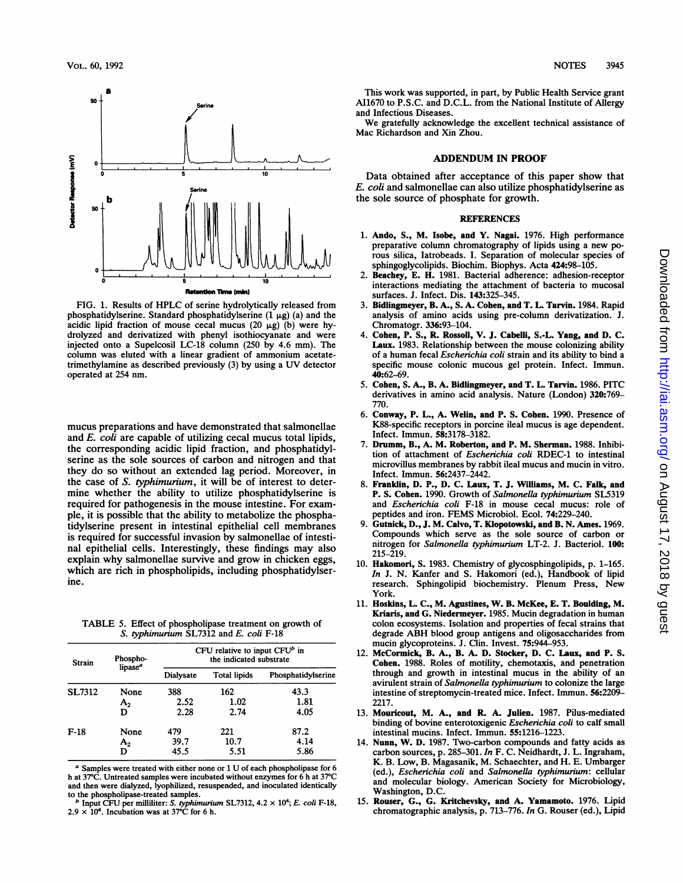

FIG. 1. Results of HPLC of serine hydrolytically released from phosphatidylserine. Standard phosphatidylserine  $(1 \mu g)$  (a) and the acidic lipid fraction of mouse cecal mucus (20  $\mu$ g) (b) were hydrolyzed and derivatized with phenyl isothiocyanate and were injected onto a Supelcosil LC-18 column (250 by 4.6 mm). The column was eluted with a linear gradient of ammonium acetatetrimethylamine as described previously (3) by using <sup>a</sup> UV detector operated at 254 nm.

mucus preparations and have demonstrated that salmonellae and *E. coli* are capable of utilizing cecal mucus total lipids, the corresponding acidic lipid fraction, and phosphatidylserine as the sole sources of carbon and nitrogen and that they do so without an extended lag period. Moreover, in the case of S. typhimurium, it will be of interest to determine whether the ability to utilize phosphatidylserine is required for pathogenesis in the mouse intestine. For example, it is possible that the ability to metabolize the phosphatidylserine present in intestinal epithelial cell membranes is required for successful invasion by salmonellae of intestinal epithelial cells. Interestingly, these findings may also explain why salmonellae survive and grow in chicken eggs, which are rich in phospholipids, including phosphatidylserine.

TABLE 5. Effect of phospholipase treatment on growth of S. typhimurium SL7312 and E. coli F-18

| <b>Strain</b> | Phospho-<br>lipase <sup>a</sup> | CFU relative to input $CFU^b$ in<br>the indicated substrate |                     |                    |  |
|---------------|---------------------------------|-------------------------------------------------------------|---------------------|--------------------|--|
|               |                                 | Dialysate                                                   | <b>Total lipids</b> | Phosphatidylserine |  |
| <b>SL7312</b> | None                            | 388                                                         | 162                 | 43.3               |  |
|               | A <sub>2</sub>                  | 2.52                                                        | 1.02                | 1.81               |  |
|               | D                               | 2.28                                                        | 2.74                | 4.05               |  |
| $F-18$        | None                            | 479                                                         | 221                 | 87.2               |  |
|               | A <sub>2</sub>                  | 39.7                                                        | 10.7                | 4.14               |  |
|               | D                               | 45.5                                                        | 5.51                | 5.86               |  |

<sup>a</sup> Samples were treated with either none or <sup>1</sup> U of each phospholipase for <sup>6</sup> h at 37°C. Untreated samples were incubated without enzymes for <sup>6</sup> h at 37°C and then were dialyzed, lyophilized, resuspended, and inoculated identically to the phospholipase-treated samples.

<sup>b</sup> Input CFU per milliliter: *S. typhimurium* SL7312,  $4.2 \times 10^4$ ; *E. coli* F-18,  $2.9 \times 10^4$ . Incubation was at 37°C for 6 h.

This work was supported, in part, by Public Health Service grant AI1670 to P.S.C. and D.C.L. from the National Institute of Allergy and Infectious Diseases.

We gratefully acknowledge the excellent technical assistance of Mac Richardson and Xin Zhou.

### ADDENDUM IN PROOF

Data obtained after acceptance of this paper show that E. coli and salmonellae can also utilize phosphatidylserine as the sole source of phosphate for growth.

#### **REFERENCES**

- 1. Ando, S., M. Isobe, and Y. Nagai. 1976. High performance preparative column chromatography of lipids using <sup>a</sup> new porous silica, Iatrobeads. I. Separation of molecular species of sphingoglycolipids. Biochim. Biophys. Acta 424:98-105.
- 2. Beachey, E. H. 1981. Bacterial adherence: adhesion-receptor interactions mediating the attachment of bacteria to mucosal surfaces. J. Infect. Dis. 143:325-345.
- 3. Bidlingmeyer, B. A., S. A. Cohen, and T. L. Tarvin. 1984. Rapid analysis of amino acids using pre-column derivatization. J. Chromatogr. 336:93-104.
- 4. Cohen, P. S., R. Rossoll, V. J. Cabelli, S.-L. Yang, and D. C. Laux. 1983. Relationship between the mouse colonizing ability of <sup>a</sup> human fecal Escherichia coli strain and its ability to bind <sup>a</sup> specific mouse colonic mucous gel protein. Infect. Immun. 40:62-69.
- 5. Cohen, S. A., B. A. Bidlingmeyer, and T. L. Tarvin. 1986. PITC derivatives in amino acid analysis. Nature (London) 320:769- 770.
- 6. Conway, P. L., A. Welin, and P. S. Cohen. 1990. Presence of K88-specific receptors in porcine ileal mucus is age dependent. Infect. Immun. 58:3178-3182.
- 7. Drumm, B., A. M. Roberton, and P. M. Sherman. 1988. Inhibition of attachment of Escherichia coli RDEC-1 to intestinal microvillus membranes by rabbit ileal mucus and mucin in vitro. Infect. Immun. 56:2437-2442.
- 8. Franklin, D. P., D. C. Laux, T. J. Williams, M. C. Falk, and P. S. Cohen. 1990. Growth of Salmonella typhimurium SL5319 and Escherichia coli F-18 in mouse cecal mucus: role of peptides and iron. FEMS Microbiol. Ecol. 74:229-240.
- 9. Gutnick, D., J. M. Calvo, T. Klopotowski, and B. N. Ames. 1969. Compounds which serve as the sole source of carbon or nitrogen for Salmonella typhimurium LT-2. J. Bacteriol. 100: 215-219.
- 10. Hakomori, S. 1983. Chemistry of glycosphingolipids, p. 1-165. In J. N. Kanfer and S. Hakomori (ed.), Handbook of lipid research. Sphingolipid biochemistry. Plenum Press, New York.
- 11. Hoskins, L. C., M. Agustines, W. B. McKee, E. T. Boulding, M. Kriaris, and G. Niedermeyer. 1985. Mucin degradation in human colon ecosystems. Isolation and properties of fecal strains that degrade ABH blood group antigens and oligosaccharides from mucin glycoproteins. J. Clin. Invest. 75:944-953.
- 12. McCormick, B. A., B. A. D. Stocker, D. C. Laux, and P. S. Cohen. 1988. Roles of motility, chemotaxis, and penetration through and growth in intestinal mucus in the ability of an avirulent strain of Salmonella typhimurium to colonize the large intestine of streptomycin-treated mice. Infect. Immun. 56:2209- 2217.
- 13. Mouricout, M. A., and R. A. Julien. 1987. Pilus-mediated binding of bovine enterotoxigenic Escherichia coli to calf small intestinal mucins. Infect. Immun. 55:1216-1223.
- 14. Nunn, W. D. 1987. Two-carbon compounds and fatty acids as carbon sources, p. 285-301. In F. C. Neidhardt, J. L. Ingraham, K. B. Low, B. Magasanik, M. Schaechter, and H. E. Umbarger (ed.), Escherichia coli and Salmonella typhimurium: cellular and molecular biology. American Society for Microbiology, Washington, D.C.
- 15. Rouser, G., G. Kritchevsky, and A. Yamamoto. 1976. Lipid chromatographic analysis, p. 713-776. In G. Rouser (ed.), Lipid